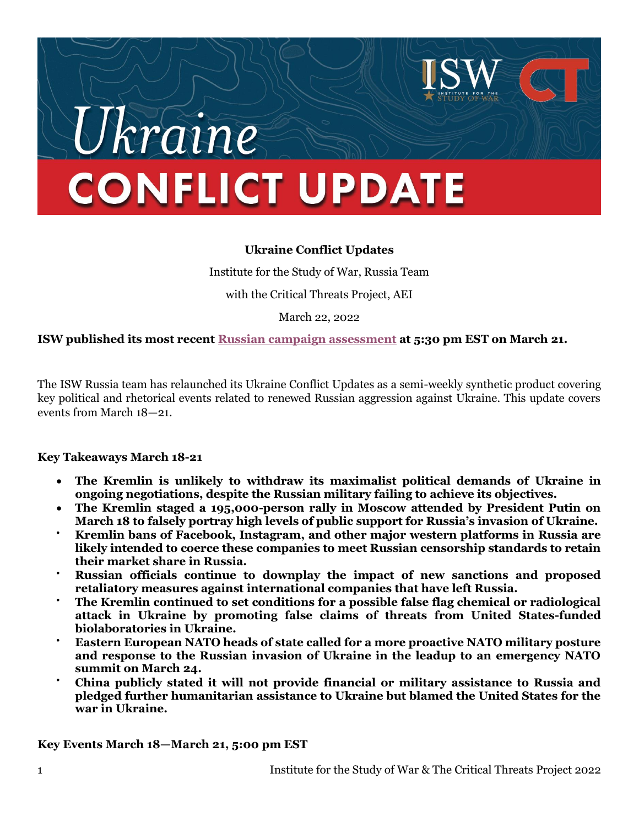# kraine **CONFLICT UPDATE**

## **Ukraine Conflict Updates**

Institute for the Study of War, Russia Team with the Critical Threats Project, AEI

March 22, 2022

**ISW published its most recen[t Russian campaign assessment](https://understandingwar.org/backgrounder/russian-offensive-campaign-assessment-march-21) at 5:30 pm EST on March 21.** 

The ISW Russia team has relaunched its Ukraine Conflict Updates as a semi-weekly synthetic product covering key political and rhetorical events related to renewed Russian aggression against Ukraine. This update covers events from March 18—21.

#### **Key Takeaways March 18-21**

- **The Kremlin is unlikely to withdraw its maximalist political demands of Ukraine in ongoing negotiations, despite the Russian military failing to achieve its objectives.**
- **The Kremlin staged a 195,000-person rally in Moscow attended by President Putin on March 18 to falsely portray high levels of public support for Russia's invasion of Ukraine.**
- **Kremlin bans of Facebook, Instagram, and other major western platforms in Russia are likely intended to coerce these companies to meet Russian censorship standards to retain their market share in Russia.**
- **Russian officials continue to downplay the impact of new sanctions and proposed retaliatory measures against international companies that have left Russia.**
- **The Kremlin continued to set conditions for a possible false flag chemical or radiological attack in Ukraine by promoting false claims of threats from United States-funded biolaboratories in Ukraine.**
- **Eastern European NATO heads of state called for a more proactive NATO military posture and response to the Russian invasion of Ukraine in the leadup to an emergency NATO summit on March 24.**
- **China publicly stated it will not provide financial or military assistance to Russia and pledged further humanitarian assistance to Ukraine but blamed the United States for the war in Ukraine.**

**Key Events March 18—March 21, 5:00 pm EST**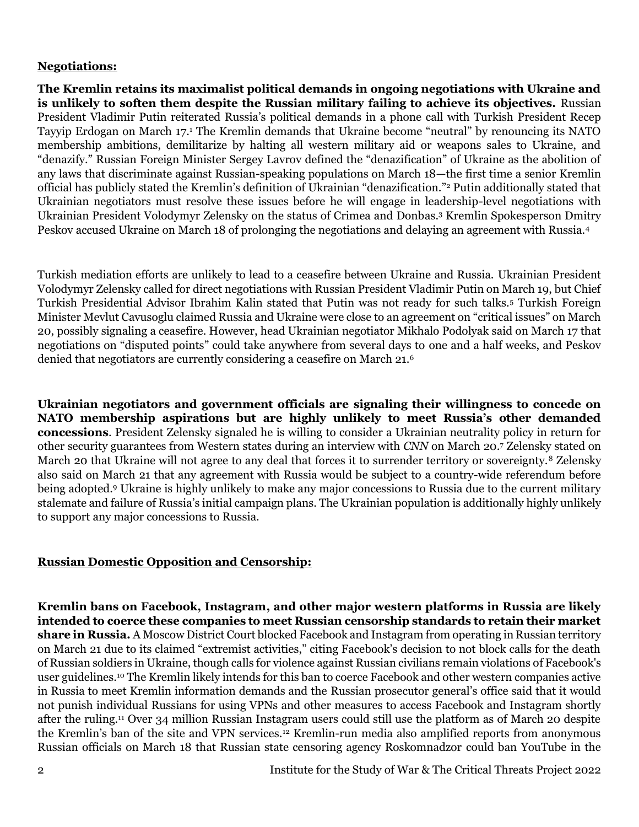#### **Negotiations:**

**The Kremlin retains its maximalist political demands in ongoing negotiations with Ukraine and is unlikely to soften them despite the Russian military failing to achieve its objectives.** Russian President Vladimir Putin reiterated Russia's political demands in a phone call with Turkish President Recep Tayyip Erdogan on March 17.<sup>1</sup> The Kremlin demands that Ukraine become "neutral" by renouncing its NATO membership ambitions, demilitarize by halting all western military aid or weapons sales to Ukraine, and "denazify." Russian Foreign Minister Sergey Lavrov defined the "denazification" of Ukraine as the abolition of any laws that discriminate against Russian-speaking populations on March 18—the first time a senior Kremlin official has publicly stated the Kremlin's definition of Ukrainian "denazification."<sup>2</sup> Putin additionally stated that Ukrainian negotiators must resolve these issues before he will engage in leadership-level negotiations with Ukrainian President Volodymyr Zelensky on the status of Crimea and Donbas.<sup>3</sup> Kremlin Spokesperson Dmitry Peskov accused Ukraine on March 18 of prolonging the negotiations and delaying an agreement with Russia.<sup>4</sup>

Turkish mediation efforts are unlikely to lead to a ceasefire between Ukraine and Russia. Ukrainian President Volodymyr Zelensky called for direct negotiations with Russian President Vladimir Putin on March 19, but Chief Turkish Presidential Advisor Ibrahim Kalin stated that Putin was not ready for such talks.<sup>5</sup> Turkish Foreign Minister Mevlut Cavusoglu claimed Russia and Ukraine were close to an agreement on "critical issues" on March 20, possibly signaling a ceasefire. However, head Ukrainian negotiator Mikhalo Podolyak said on March 17 that negotiations on "disputed points" could take anywhere from several days to one and a half weeks, and Peskov denied that negotiators are currently considering a ceasefire on March 21.<sup>6</sup>

**Ukrainian negotiators and government officials are signaling their willingness to concede on NATO membership aspirations but are highly unlikely to meet Russia's other demanded concessions**. President Zelensky signaled he is willing to consider a Ukrainian neutrality policy in return for other security guarantees from Western states during an interview with *CNN* on March 20.<sup>7</sup> Zelensky stated on March 20 that Ukraine will not agree to any deal that forces it to surrender territory or sovereignty.<sup>8</sup> Zelensky also said on March 21 that any agreement with Russia would be subject to a country-wide referendum before being adopted.<sup>9</sup> Ukraine is highly unlikely to make any major concessions to Russia due to the current military stalemate and failure of Russia's initial campaign plans. The Ukrainian population is additionally highly unlikely to support any major concessions to Russia.

## **Russian Domestic Opposition and Censorship:**

**Kremlin bans on Facebook, Instagram, and other major western platforms in Russia are likely intended to coerce these companies to meet Russian censorship standards to retain their market share in Russia.** A Moscow District Court blocked Facebook and Instagram from operating in Russian territory on March 21 due to its claimed "extremist activities," citing Facebook's decision to not block calls for the death of Russian soldiers in Ukraine, though calls for violence against Russian civilians remain violations of Facebook's user guidelines.<sup>10</sup> The Kremlin likely intends for this ban to coerce Facebook and other western companies active in Russia to meet Kremlin information demands and the Russian prosecutor general's office said that it would not punish individual Russians for using VPNs and other measures to access Facebook and Instagram shortly after the ruling.<sup>11</sup> Over 34 million Russian Instagram users could still use the platform as of March 20 despite the Kremlin's ban of the site and VPN services.<sup>12</sup> Kremlin-run media also amplified reports from anonymous Russian officials on March 18 that Russian state censoring agency Roskomnadzor could ban YouTube in the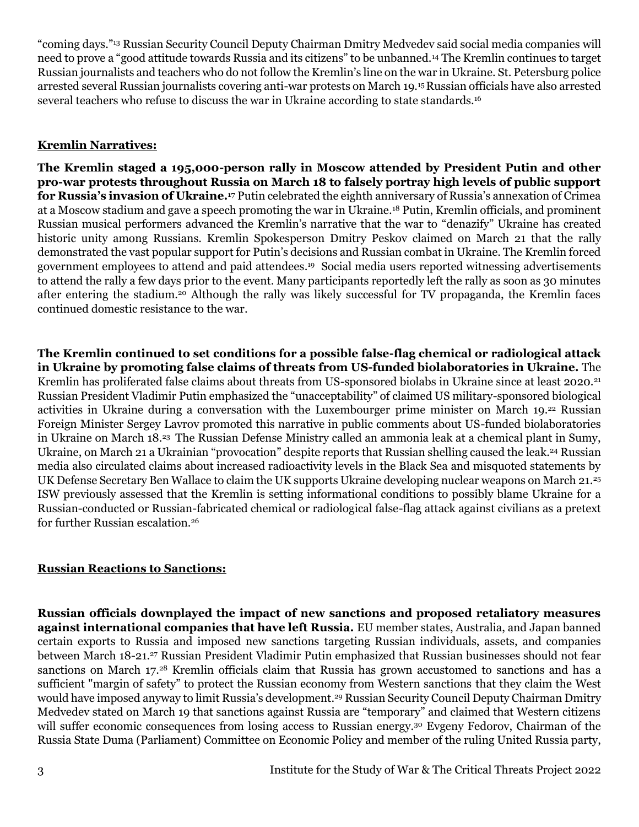"coming days."<sup>13</sup> Russian Security Council Deputy Chairman Dmitry Medvedev said social media companies will need to prove a "good attitude towards Russia and its citizens" to be unbanned.<sup>14</sup> The Kremlin continues to target Russian journalists and teachers who do not follow the Kremlin's line on the war in Ukraine. St. Petersburg police arrested several Russian journalists covering anti-war protests on March 19.15Russian officials have also arrested several teachers who refuse to discuss the war in Ukraine according to state standards.<sup>16</sup>

## **Kremlin Narratives:**

**The Kremlin staged a 195,000-person rally in Moscow attended by President Putin and other pro-war protests throughout Russia on March 18 to falsely portray high levels of public support for Russia's invasion of Ukraine.<sup>17</sup>** Putin celebrated the eighth anniversary of Russia's annexation of Crimea at a Moscow stadium and gave a speech promoting the war in Ukraine.<sup>18</sup> Putin, Kremlin officials, and prominent Russian musical performers advanced the Kremlin's narrative that the war to "denazify" Ukraine has created historic unity among Russians. Kremlin Spokesperson Dmitry Peskov claimed on March 21 that the rally demonstrated the vast popular support for Putin's decisions and Russian combat in Ukraine. The Kremlin forced government employees to attend and paid attendees. 19 Social media users reported witnessing advertisements to attend the rally a few days prior to the event. Many participants reportedly left the rally as soon as 30 minutes after entering the stadium.<sup>20</sup> Although the rally was likely successful for TV propaganda, the Kremlin faces continued domestic resistance to the war.

**The Kremlin continued to set conditions for a possible false-flag chemical or radiological attack in Ukraine by promoting false claims of threats from US-funded biolaboratories in Ukraine.** The Kremlin has proliferated false claims about threats from US-sponsored biolabs in Ukraine since at least 2020.<sup>21</sup> Russian President Vladimir Putin emphasized the "unacceptability" of claimed US military-sponsored biological activities in Ukraine during a conversation with the Luxembourger prime minister on March 19.<sup>22</sup> Russian Foreign Minister Sergey Lavrov promoted this narrative in public comments about US-funded biolaboratories in Ukraine on March 18.<sup>23</sup> The Russian Defense Ministry called an ammonia leak at a chemical plant in Sumy, Ukraine, on March 21 a Ukrainian "provocation" despite reports that Russian shelling caused the leak. <sup>24</sup> Russian media also circulated claims about increased radioactivity levels in the Black Sea and misquoted statements by UK Defense Secretary Ben Wallace to claim the UK supports Ukraine developing nuclear weapons on March 21.<sup>25</sup> ISW previously assessed that the Kremlin is setting informational conditions to possibly blame Ukraine for a Russian-conducted or Russian-fabricated chemical or radiological false-flag attack against civilians as a pretext for further Russian escalation.<sup>26</sup>

## **Russian Reactions to Sanctions:**

**Russian officials downplayed the impact of new sanctions and proposed retaliatory measures against international companies that have left Russia.** EU member states, Australia, and Japan banned certain exports to Russia and imposed new sanctions targeting Russian individuals, assets, and companies between March 18-21.<sup>27</sup> Russian President Vladimir Putin emphasized that Russian businesses should not fear sanctions on March 17.<sup>28</sup> Kremlin officials claim that Russia has grown accustomed to sanctions and has a sufficient "margin of safety" to protect the Russian economy from Western sanctions that they claim the West would have imposed anyway to limit Russia's development. <sup>29</sup> Russian Security Council Deputy Chairman Dmitry Medvedev stated on March 19 that sanctions against Russia are "temporary" and claimed that Western citizens will suffer economic consequences from losing access to Russian energy.<sup>30</sup> Evgeny Fedorov, Chairman of the Russia State Duma (Parliament) Committee on Economic Policy and member of the ruling United Russia party,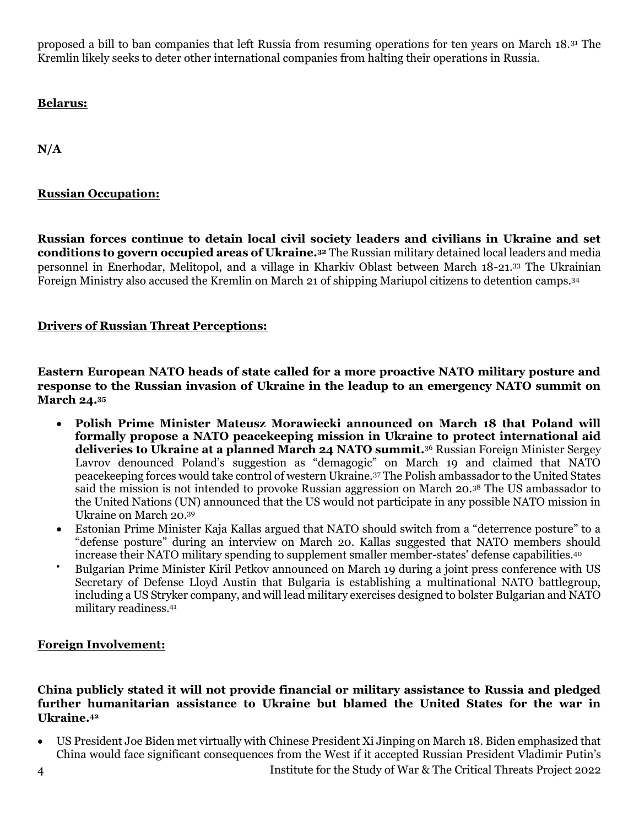proposed a bill to ban companies that left Russia from resuming operations for ten years on March 18.<sup>31</sup> The Kremlin likely seeks to deter other international companies from halting their operations in Russia.

**Belarus:**

**N/A**

# **Russian Occupation:**

**Russian forces continue to detain local civil society leaders and civilians in Ukraine and set conditions to govern occupied areas of Ukraine.<sup>32</sup>** The Russian military detained local leaders and media personnel in Enerhodar, Melitopol, and a village in Kharkiv Oblast between March 18-21.<sup>33</sup> The Ukrainian Foreign Ministry also accused the Kremlin on March 21 of shipping Mariupol citizens to detention camps.<sup>34</sup>

# **Drivers of Russian Threat Perceptions:**

**Eastern European NATO heads of state called for a more proactive NATO military posture and response to the Russian invasion of Ukraine in the leadup to an emergency NATO summit on March 24.<sup>35</sup>**

- **Polish Prime Minister Mateusz Morawiecki announced on March 18 that Poland will formally propose a NATO peacekeeping mission in Ukraine to protect international aid deliveries to Ukraine at a planned March 24 NATO summit.**<sup>36</sup> Russian Foreign Minister Sergey Lavrov denounced Poland's suggestion as "demagogic" on March 19 and claimed that NATO peacekeeping forces would take control of western Ukraine.<sup>37</sup> The Polish ambassador to the United States said the mission is not intended to provoke Russian aggression on March 20.<sup>38</sup> The US ambassador to the United Nations (UN) announced that the US would not participate in any possible NATO mission in Ukraine on March 20.<sup>39</sup>
- Estonian Prime Minister Kaja Kallas argued that NATO should switch from a "deterrence posture" to a "defense posture" during an interview on March 20. Kallas suggested that NATO members should increase their NATO military spending to supplement smaller member-states' defense capabilities.<sup>40</sup>
- Bulgarian Prime Minister Kiril Petkov announced on March 19 during a joint press conference with US Secretary of Defense Lloyd Austin that Bulgaria is establishing a multinational NATO battlegroup, including a US Stryker company, and will lead military exercises designed to bolster Bulgarian and NATO military readiness.<sup>41</sup>

## **Foreign Involvement:**

#### **China publicly stated it will not provide financial or military assistance to Russia and pledged further humanitarian assistance to Ukraine but blamed the United States for the war in Ukraine.<sup>42</sup>**

• US President Joe Biden met virtually with Chinese President Xi Jinping on March 18. Biden emphasized that China would face significant consequences from the West if it accepted Russian President Vladimir Putin's

4 Institute for the Study of War & The Critical Threats Project 2022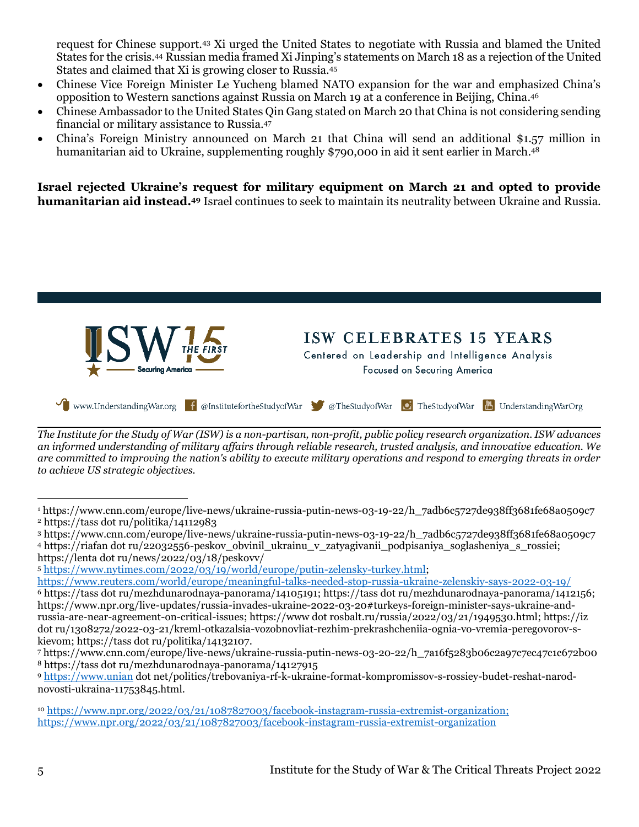request for Chinese support.<sup>43</sup> Xi urged the United States to negotiate with Russia and blamed the United States for the crisis.<sup>44</sup> Russian media framed Xi Jinping's statements on March 18 as a rejection of the United States and claimed that Xi is growing closer to Russia.<sup>45</sup>

- Chinese Vice Foreign Minister Le Yucheng blamed NATO expansion for the war and emphasized China's opposition to Western sanctions against Russia on March 19 at a conference in Beijing, China. 46
- Chinese Ambassador to the United States Qin Gang stated on March 20 that China is not considering sending financial or military assistance to Russia.<sup>47</sup>
- China's Foreign Ministry announced on March 21 that China will send an additional \$1.57 million in humanitarian aid to Ukraine, supplementing roughly \$790,000 in aid it sent earlier in March. 48

**Israel rejected Ukraine's request for military equipment on March 21 and opted to provide humanitarian aid instead.<sup>49</sup>** Israel continues to seek to maintain its neutrality between Ukraine and Russia.



*The Institute for the Study of War (ISW) is a non-partisan, non-profit, public policy research organization. ISW advances an informed understanding of military affairs through reliable research, trusted analysis, and innovative education. We are committed to improving the nation's ability to execute military operations and respond to emerging threats in order to achieve US strategic objectives.*

<sup>1</sup> https://www.cnn.com/europe/live-news/ukraine-russia-putin-news-03-19-22/h\_7adb6c5727de938ff3681fe68a0509c7 <sup>2</sup> https://tass dot ru/politika/14112983

<sup>3</sup> https://www.cnn.com/europe/live-news/ukraine-russia-putin-news-03-19-22/h\_7adb6c5727de938ff3681fe68a0509c7

<sup>4</sup> https://riafan dot ru/22032556-peskov\_obvinil\_ukrainu\_v\_zatyagivanii\_podpisaniya\_soglasheniya\_s\_rossiei; https://lenta dot ru/news/2022/03/18/peskovv/

<sup>5</sup> [https://www.nytimes.com/2022/03/19/world/europe/putin-zelensky-turkey.html;](https://www.nytimes.com/2022/03/19/world/europe/putin-zelensky-turkey.html)

<https://www.reuters.com/world/europe/meaningful-talks-needed-stop-russia-ukraine-zelenskiy-says-2022-03-19/>

<sup>6</sup> https://tass dot ru/mezhdunarodnaya-panorama/14105191; https://tass dot ru/mezhdunarodnaya-panorama/1412156; https://www.npr.org/live-updates/russia-invades-ukraine-2022-03-20#turkeys-foreign-minister-says-ukraine-andrussia-are-near-agreement-on-critical-issues; https://www dot rosbalt.ru/russia/2022/03/21/1949530.html; https://iz dot ru/1308272/2022-03-21/kreml-otkazalsia-vozobnovliat-rezhim-prekrashcheniia-ognia-vo-vremia-peregovorov-skievom; https://tass dot ru/politika/14132107.

<sup>7</sup> https://www.cnn.com/europe/live-news/ukraine-russia-putin-news-03-20-22/h\_7a16f5283b06c2a97c7ec47c1c672b00 <sup>8</sup> https://tass dot ru/mezhdunarodnaya-panorama/14127915

<sup>9</sup> [https://www.unian](https://www.unian/) dot net/politics/trebovaniya-rf-k-ukraine-format-kompromissov-s-rossiey-budet-reshat-narodnovosti-ukraina-11753845.html.

<sup>10</sup> <https://www.npr.org/2022/03/21/1087827003/facebook-instagram-russia-extremist-organization;> <https://www.npr.org/2022/03/21/1087827003/facebook-instagram-russia-extremist-organization>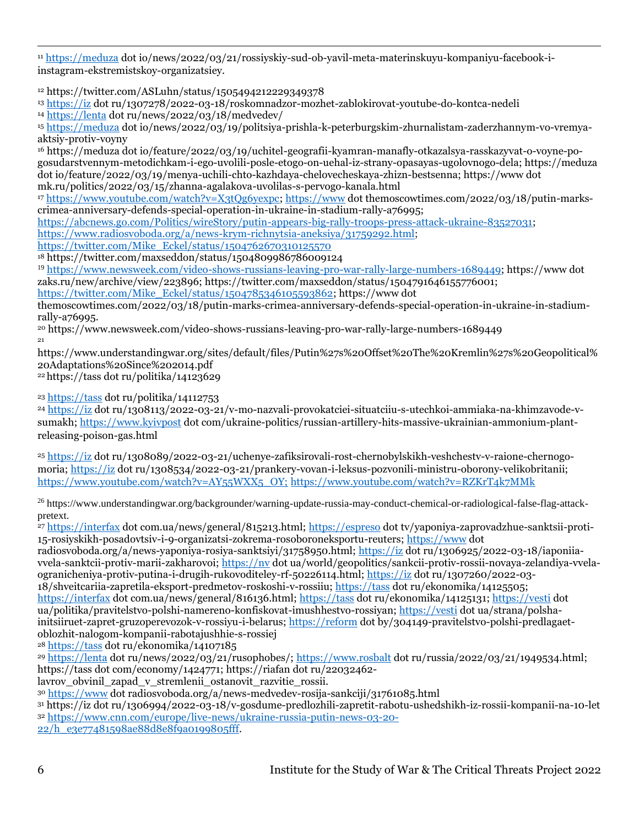<sup>11</sup> [https://meduza](https://meduza/) dot io/news/2022/03/21/rossiyskiy-sud-ob-yavil-meta-materinskuyu-kompaniyu-facebook-iinstagram-ekstremistskoy-organizatsiey.

<sup>12</sup> https://twitter.com/ASLuhn/status/1505494212229349378

<sup>13</sup> [https://iz](https://iz/) dot ru/1307278/2022-03-18/roskomnadzor-mozhet-zablokirovat-youtube-do-kontca-nedeli

<sup>14</sup> [https://lenta](https://lenta/) dot ru/news/2022/03/18/medvedev/

<sup>15</sup> [https://meduza](https://meduza/) dot io/news/2022/03/19/politsiya-prishla-k-peterburgskim-zhurnalistam-zaderzhannym-vo-vremyaaktsiy-protiv-voyny

<sup>16</sup> https://meduza dot io/feature/2022/03/19/uchitel-geografii-kyamran-manafly-otkazalsya-rasskazyvat-o-voyne-pogosudarstvennym-metodichkam-i-ego-uvolili-posle-etogo-on-uehal-iz-strany-opasayas-ugolovnogo-dela; https://meduza dot io/feature/2022/03/19/menya-uchili-chto-kazhdaya-chelovecheskaya-zhizn-bestsenna; https://www dot mk.ru/politics/2022/03/15/zhanna-agalakova-uvolilas-s-pervogo-kanala.html

<sup>17</sup> [https://www.youtube.com/watch?v=X3tQg6yexpc;](https://www.youtube.com/watch?v=X3tQg6yexpc) [https://www](https://www/) dot themoscowtimes.com/2022/03/18/putin-markscrimea-anniversary-defends-special-operation-in-ukraine-in-stadium-rally-a76995;

[https://abcnews.go.com/Politics/wireStory/putin-appears-big-rally-troops-press-attack-ukraine-83527031;](https://abcnews.go.com/Politics/wireStory/putin-appears-big-rally-troops-press-attack-ukraine-83527031)

[https://www.radiosvoboda.org/a/news-krym-richnytsia-aneksiya/31759292.html;](https://www.radiosvoboda.org/a/news-krym-richnytsia-aneksiya/31759292.html)

[https://twitter.com/Mike\\_Eckel/status/1504762670310125570](https://twitter.com/Mike_Eckel/status/1504762670310125570)

<sup>18</sup> https://twitter.com/maxseddon/status/1504809986786009124

<sup>19</sup> [https://www.newsweek.com/video-shows-russians-leaving-pro-war-rally-large-numbers-1689449;](https://www.newsweek.com/video-shows-russians-leaving-pro-war-rally-large-numbers-1689449) https://www dot zaks.ru/new/archive/view/223896; https://twitter.com/maxseddon/status/1504791646155776001;

[https://twitter.com/Mike\\_Eckel/status/1504785346105593862;](https://twitter.com/Mike_Eckel/status/1504785346105593862) https://www dot

themoscowtimes.com/2022/03/18/putin-marks-crimea-anniversary-defends-special-operation-in-ukraine-in-stadiumrally-a76995.

<sup>20</sup> https://www.newsweek.com/video-shows-russians-leaving-pro-war-rally-large-numbers-1689449 21

https://www.understandingwar.org/sites/default/files/Putin%27s%20Offset%20The%20Kremlin%27s%20Geopolitical% 20Adaptations%20Since%202014.pdf

<sup>22</sup> [https://tass](https://tass/) dot ru/politika/14123629

<sup>23</sup> [https://tass](https://tass/) dot ru/politika/14112753

<sup>24</sup> [https://iz](https://iz/) dot ru/1308113/2022-03-21/v-mo-nazvali-provokatciei-situatciiu-s-utechkoi-ammiaka-na-khimzavode-vsumakh[; https://www.kyivpost](https://www.kyivpost/) dot com/ukraine-politics/russian-artillery-hits-massive-ukrainian-ammonium-plantreleasing-poison-gas.html

<sup>25</sup> [https://iz](https://iz/) dot ru/1308089/2022-03-21/uchenye-zafiksirovali-rost-chernobylskikh-veshchestv-v-raione-chernogomoria; [https://iz](https://iz/) dot ru/1308534/2022-03-21/prankery-vovan-i-leksus-pozvonili-ministru-oborony-velikobritanii; [https://www.youtube.com/watch?v=AY55WXX5\\_OY;](https://www.youtube.com/watch?v=AY55WXX5_OY;) <https://www.youtube.com/watch?v=RZKrT4k7MMk>

<sup>26</sup> https://www.understandingwar.org/backgrounder/warning-update-russia-may-conduct-chemical-or-radiological-false-flag-attackpretext.

<sup>27</sup> [https://interfax](https://interfax/) dot com.ua/news/general/815213.html; [https://espreso](https://espreso/) dot tv/yaponiya-zaprovadzhue-sanktsii-proti-15-rosiyskikh-posadovtsiv-i-9-organizatsi-zokrema-rosoboroneksportu-reuters; [https://www](https://www/) dot

radiosvoboda.org/a/news-yaponiya-rosiya-sanktsiyi/31758950.html; [https://iz](https://iz/) dot ru/1306925/2022-03-18/iaponiiavvela-sanktcii-protiv-marii-zakharovoi; [https://nv](https://nv/) dot ua/world/geopolitics/sankcii-protiv-rossii-novaya-zelandiya-vvelaogranicheniya-protiv-putina-i-drugih-rukovoditeley-rf-50226114.html; [https://iz](https://iz/) dot ru/1307260/2022-03- 18/shveitcariia-zapretila-eksport-predmetov-roskoshi-v-rossiiu; [https://tass](https://tass/) dot ru/ekonomika/14125505;

[https://interfax](https://interfax/) dot com.ua/news/general/816136.html; [https://tass](https://tass/) dot ru/ekonomika/14125131; [https://vesti](https://vesti/) dot ua/politika/pravitelstvo-polshi-namereno-konfiskovat-imushhestvo-rossiyan[; https://vesti](https://vesti/) dot ua/strana/polshainitsiiruet-zapret-gruzoperevozok-v-rossiyu-i-belarus; [https://reform](https://reform/) dot by/304149-pravitelstvo-polshi-predlagaetoblozhit-nalogom-kompanii-rabotajushhie-s-rossiej

<sup>28</sup> [https://tass](https://tass/) dot ru/ekonomika/14107185

<sup>29</sup> [https://lenta](https://lenta/) dot ru/news/2022/03/21/rusophobes/; [https://www.rosbalt](https://www.rosbalt/) dot ru/russia/2022/03/21/1949534.html; [https://tass](https://tass/) dot com/economy/1424771; https://riafan dot ru/22032462-

lavrov obvinil zapad v stremlenii ostanovit razvitie rossii.

<sup>30</sup> [https://www](https://www/) dot radiosvoboda.org/a/news-medvedev-rosija-sankciji/31761085.html

<sup>31</sup> [https://iz](https://iz/) dot ru/1306994/2022-03-18/v-gosdume-predlozhili-zapretit-rabotu-ushedshikh-iz-rossii-kompanii-na-10-let <sup>32</sup> [https://www.cnn.com/europe/live-news/ukraine-russia-putin-news-03-20-](https://www.cnn.com/europe/live-news/ukraine-russia-putin-news-03-20-22/h_e3e77481598ae88d8e8f9a0199805fff)

[22/h\\_e3e77481598ae88d8e8f9a0199805fff.](https://www.cnn.com/europe/live-news/ukraine-russia-putin-news-03-20-22/h_e3e77481598ae88d8e8f9a0199805fff)